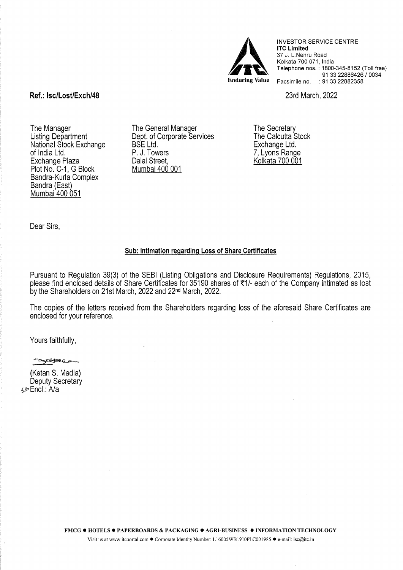

INVESTOR SERVICE CENTRE **lTC Limited**  37 J. L.Nehru Road Kolkata 700 071, India Telephone nos. : 1800-345-8152 (Toll free) 91 33 22886426 / 0034 Facsimile no. : 91 33 22882358

23rd March, 2022

## **Ref.: lsc/Lost/Exch/48**

The Manager Listing Department National Stock Exchange of India Ltd. Exchange Plaza Plot No. C-1, G Block Bandra-Kurla Complex Bandra (East) Mumbai 400 051

The General Manager Dept. of Corporate Services BSE Ltd. P. J. Towers Dalal Street, Mumbai 400 001

The Secretary The Calcutta Stock Exchange Ltd. 7, Lyons Range Kolkata 700 001

Dear Sirs,

### **Sub: Intimation regarding Loss of Share Certificates**

Pursuant to Regulation 39(3) of the SEBI (Listing Obligations and Disclosure Requirements) Regulations, 2015, please find enclosed details of Share Certificates for 35190 shares of ₹1/- each of the Company intimated as lost by the Shareholders on 21st March, 2022 and 22nd March, 2022.

The copies of the letters received from the Shareholders regarding loss of the aforesaid Share Certificates are enclosed for your reference.

Yours faithfully,

**CONSTRUCTION** 

(Ketan S. Madia) Deputy Secretary ~~?:'Encl.: A/a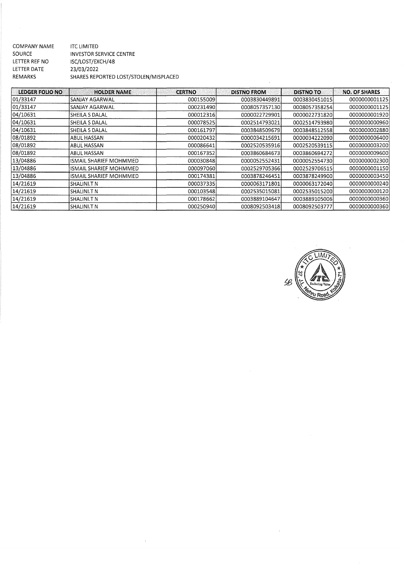| COMPANY NAME   | ITC LIMITED                           |
|----------------|---------------------------------------|
| SOURCE         | <b>INVESTOR SERVICE CENTRE</b>        |
| LETTER REF NO  | ISC/LOST/EXCH/48                      |
| LETTER DATE    | 23/03/2022                            |
| <b>REMARKS</b> | SHARES REPORTED LOST/STOLEN/MISPLACED |
|                |                                       |

| REMARKS                | SHARES REPORTED LOST/STOLEN/MISPLACED |               |                    |                  |                      |
|------------------------|---------------------------------------|---------------|--------------------|------------------|----------------------|
| <b>LEDGER FOLIO NO</b> | <b>HOLDER NAME</b>                    | <b>CERTNO</b> | <b>DISTNO FROM</b> | <b>DISTNO TO</b> | <b>NO. OF SHARES</b> |
| 01/33147               | SANJAY AGARWAL                        | 000155009     | 0003830449891      | 0003830451015    | 0000000001125        |
| 01/33147               | SANJAY AGARWAL                        | 000231490     | 0008057357130      | 0008057358254    | 0000000001125        |
| 04/10631               | SHEILA S DALAL                        | 000012316     | 0000022729901      | 0000022731820    | 0000000001920        |
| 04/10631               | SHEILA S DALAL                        | 000078525     | 0002514793021      | 0002514793980    | 0000000000960        |
| 04/10631               | SHEILA S DALAL                        | 000161797     | 0003848509679      | 0003848512558    | 0000000002880        |
| 08/01892               | ABUL HASSAN                           | 000020432     | 0000034215691      | 0000034222090    | 0000000006400        |
| 08/01892               | ABUL HASSAN                           | 000086641     | 0002520535916      | 0002520539115    | 0000000003200        |
| 08/01892               | ABUL HASSAN                           | 000167352     | 0003860684673      | 0003860694272    | 0000000009600        |
| 13/04886               | ISMAIL SHARIEF MOHMMED                | 000030848     | 0000052552431      | 0000052554730    | 0000000002300        |
| 13/04886               | ISMAIL SHARIEF MOHMMED                | 000097060     | 0002529705366      | 0002529706515    | 0000000001150        |
| 13/04886               | ISMAIL SHARIEF MOHMMED                | 000174381     | 0003878246451      | 0003878249900    | 0000000003450        |
| 14/21619               | SHALINI.T N                           | 000037335     | 0000063171801      | 0000063172040    | 0000000000240        |
| 14/21619               | SHALINI.T N                           | 000103548     | 0002535015081      | 0002535015200    | 0000000000120        |
| 14/21619               | SHALINI.T N                           | 000178662     | 0003889104647      | 0003889105006    | 0000000000360        |
| 14/21619               | SHALINI.T N                           | 000250940     | 0008092503418      | 0008092503777    | 0000000000360        |

 $\label{eq:2.1} \frac{1}{\sqrt{2}}\left(\frac{1}{\sqrt{2}}\right)^{2} \left(\frac{1}{\sqrt{2}}\right)^{2} \left(\frac{1}{\sqrt{2}}\right)^{2} \left(\frac{1}{\sqrt{2}}\right)^{2} \left(\frac{1}{\sqrt{2}}\right)^{2} \left(\frac{1}{\sqrt{2}}\right)^{2} \left(\frac{1}{\sqrt{2}}\right)^{2} \left(\frac{1}{\sqrt{2}}\right)^{2} \left(\frac{1}{\sqrt{2}}\right)^{2} \left(\frac{1}{\sqrt{2}}\right)^{2} \left(\frac{1}{\sqrt{2}}\right)^{2} \left(\$ 



 $\label{eq:2.1} \frac{1}{\sqrt{2}}\int_{\mathbb{R}^3}\frac{1}{\sqrt{2}}\left(\frac{1}{\sqrt{2}}\right)^2\frac{1}{\sqrt{2}}\left(\frac{1}{\sqrt{2}}\right)^2\frac{1}{\sqrt{2}}\left(\frac{1}{\sqrt{2}}\right)^2\frac{1}{\sqrt{2}}\left(\frac{1}{\sqrt{2}}\right)^2.$ 

 $\label{eq:1} \frac{1}{2} \sum_{i=1}^n \frac{1}{2} \sum_{j=1}^n \frac{1}{2} \sum_{j=1}^n \frac{1}{2} \sum_{j=1}^n \frac{1}{2} \sum_{j=1}^n \frac{1}{2} \sum_{j=1}^n \frac{1}{2} \sum_{j=1}^n \frac{1}{2} \sum_{j=1}^n \frac{1}{2} \sum_{j=1}^n \frac{1}{2} \sum_{j=1}^n \frac{1}{2} \sum_{j=1}^n \frac{1}{2} \sum_{j=1}^n \frac{1}{2} \sum_{j=1}^n \frac{1}{$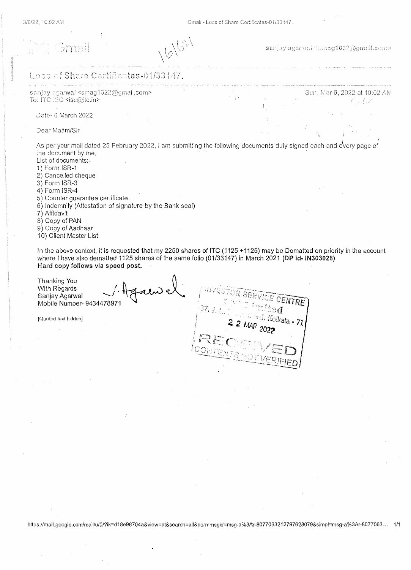$\mathcal{L}^{\star}$  $\frac{1}{3}$  s

bma:

 $\sqrt{\zeta} \lambda$  $\bigwedge \bigl\langle \bigcirc \bigm /_{\Bbbk} \, , \, \bigr\rangle$ 

sanjay agarwal <smag1622@gmail.com>

Sun, Mar 6, 2022 at 10:02 AM

 $I=I\mathscr{A}$ 

I

### Loss of Share Certificates-01/33147.

sanjay aga**rwal** <smag1622@gmail.**c**om>-To: ITC ISC <isc@ilc.in>

Date- 6 March 2022

Dear Maám/Sir

' ' As per your mail dated 25 February 2022, I am submitting the following documents duly signed each and e 1 very page of the document by me. List of documents:-

1) Form ISR-1 2) Cancelled cheque 3) Form ISR-3 4) Form ISR-4 5) Counter guarantee certificate 6) Indemnity (Attestation of signature by the Bank seal) 7) Affidavit 8) Copy of PAN

9) Copy of Aadhaar

10) Client Master List

In the above context, it is requested that my 2250 shares of lTC (1125 +1125) may be Dematted on priority in the account where I have also dematted 1125 shares of the same folio (01/33147) in March 2021 (DP id-IN303028) Hard copy follows via speed post.

f, L \_- <sup>~</sup>0 •• 1 . Sanjay Agarwal ..........; '\ (f~ Thanking You With Regards Mobile Number- 943447897 37, <sub>J. I</sub> ad, Kolkata - 71 (Quoted text hidden]

https://mail.google.com/mail/u/0/?ik=d18e96704a&view=pt&search=all&permmsgid=msg-a%3Ar-8077063212797628079&simpl=msg-a%3Ar-8077063... 1/1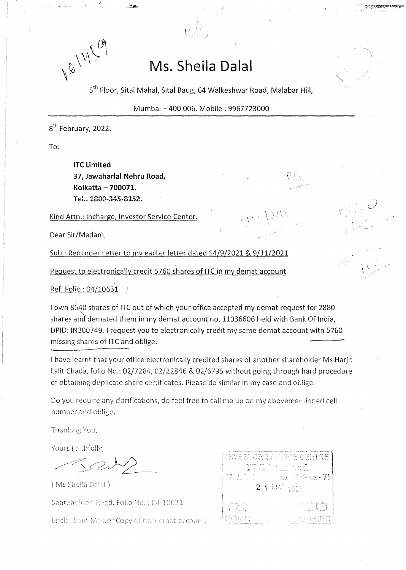18 M Con

# **Ms. Sheila Dalal**

/

5th Floor, Sital Mahal, Sital Baug, 64 Walkeshwar Road, Malabar **Hill,** 

Mumbai- 400 006. Mobile: 9967723000

 $\leq \bigwedge^3$ 

-.. \_\_\_\_.·.·

 $^{\prime}$   $^{\prime}$ 

8<sup>th</sup> February, 2022.

To:

**lTC Limited 37, Jawaharlal Nehru Road, Kolkatta - 700071.**  Tel.: 1800-345-8152.

Kind Attn.: lncharge, Investor Service Center.

Dear Sir/Madam,

Sub.: Reminder Letter to my earlier letter dated 14/9/2021 & 9/11/2021

Request to electronically credit 5760 shares of lTC in my demat account

 $\overrightarrow{\rm Ref.}$  Folio : 04/10631  $\pm$  /  $\pm$ 

I own 8G40 shares of lTC out of which your office accepted my demat request for 2880 shares and demated them in my demat account no. 11036606 held with Bank Of India, DPID: !N300749. I request you to electronically credit my same demat account with 5760 missing shares of lTC and oblige.

I have learnt that your office electronically credited shares of another shareholder Ms Harjit Lalit Chada, folio No.: 02/7284, 02/22846 & 02/6795 without going through hard procedure of obtaining duplicate share certificates. Please do similar in my case and oblige.

Do you require any clarifications, do feel free to cail me up on my abovementioned cell number and oblige.

Thanking You,

Yours Faithfully,

(Ms Sheila Dalal)

Shareholder, Regd. Folio No.: 04-10631

Encl: Client Master Copy of my demat account.

|             | <b>INVESTOR SEPTEDE CENTRE</b>            |
|-------------|-------------------------------------------|
| 37. J. L. 1 | ITO Luited<br>– vad. Selkat <b>a - 71</b> |
|             | $2.1$ M/R $2022$                          |
| 经资金         | ki to pro                                 |
| CONTL.      | <b>DEL SEGREDI</b>                        |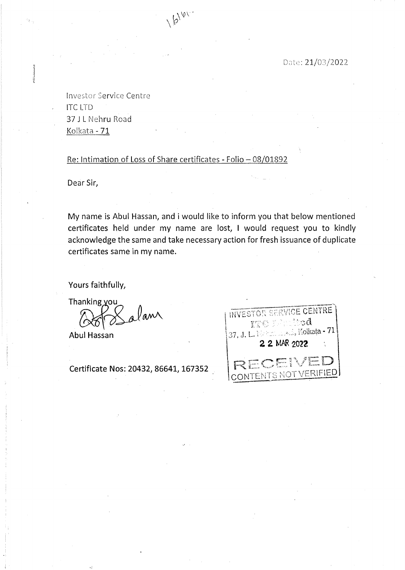Date: 21/03/2022

Investor Service Centre lTC LTD 37 J L Nehru Road Kolkata- 71

## Re: Intimation of Loss of Share certificates- Folio- 08/01892

16100

Dear Sir,

My name is Abul Hassan, and i would like to inform you that below mentioned certificates held under my name are lost, I would request you to kindly acknowledge the same and take necessary action for fresh issuance of duplicate certificates same in my name.

Yours faithfully,

Thanking you<br>And alam

Abul Hassan

Certificate Nos: 20432, 86641, 167352

| INVESTOR SERVICE CENTRE<br>ggy, planifod<br>37, J. L. Natural M. Kolkata - 71<br>2 2 MAR 2022 |
|-----------------------------------------------------------------------------------------------|
| RECEIVED<br>CONTENTS NOT VERIFIED                                                             |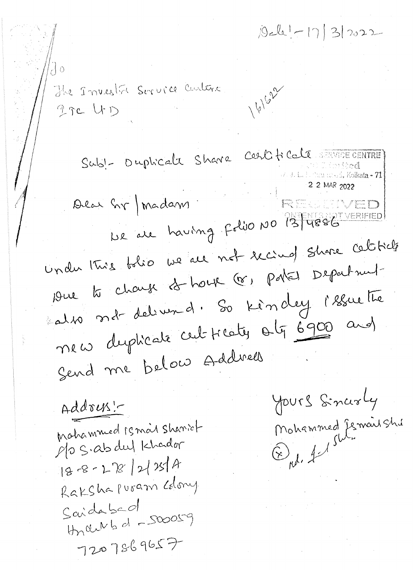$|01| - 17|3|2022$ 

 $\int$  0 The Investit Service Curtera 16/622  $2$  TC  $\downarrow$  D Subl- Duphcale Share Cestificale Anne ENTRE ~cJ-. (I . \ I . l 2 2 ~\_1AR 202"l .  $\mathcal{C}_{\mathcal{N}}$  \  $\mathcal{C}_{\mathcal{N}}$  and  $\mathcal{C}_{\mathcal{N}}$  . The contract of  $\mathcal{C}_{\mathcal{N}}$  $\begin{array}{c} \mathcal{M} \setminus \mathcal{M} \setminus \mathcal{M} \setminus \mathcal{M} \setminus \mathcal{M} \setminus \mathcal{M} \setminus \mathcal{M} \setminus \mathcal{M} \setminus \mathcal{M} \setminus \mathcal{M} \setminus \mathcal{M} \setminus \mathcal{M} \setminus \mathcal{M} \setminus \mathcal{M} \setminus \mathcal{M} \setminus \mathcal{M} \setminus \mathcal{M} \setminus \mathcal{M} \setminus \mathcal{M} \setminus \mathcal{M} \setminus \mathcal{M} \setminus \mathcal{M} \setminus \mathcal{M} \setminus \mathcal{M} \$ undu this tolie we all not recind shore celiticle 19 rue to charge 2<del>0</del> house (8) partes Department also not delivered. So kindey l'essuette The w dupticate cut treaty orty 6900 and Send me below Address yours Sincerly Address! ~~ Mohammed Jemail Shi mahammed is mail shariot  $f(o \subseteq s \cdot \alpha b \cdot d u)$  khador **c**D *j, j<sup>/slim</sup>*  $|8-8-18|28|$  $R$ aksha puram colony Saidabed  $thn$  check of  $-$ SWOSS9  $7207869657$